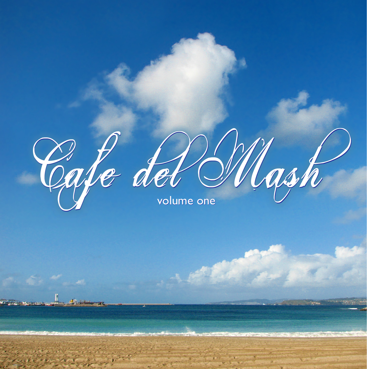